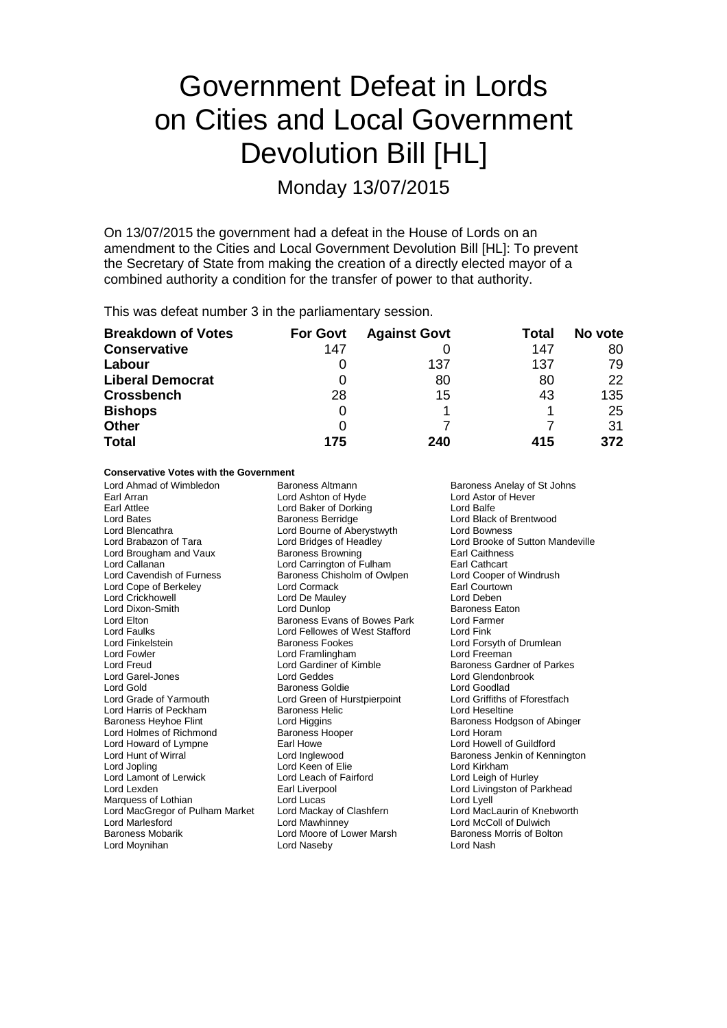# Government Defeat in Lords on Cities and Local Government Devolution Bill [HL]

Monday 13/07/2015

On 13/07/2015 the government had a defeat in the House of Lords on an amendment to the Cities and Local Government Devolution Bill [HL]: To prevent the Secretary of State from making the creation of a directly elected mayor of a combined authority a condition for the transfer of power to that authority.

This was defeat number 3 in the parliamentary session.

| <b>Breakdown of Votes</b> | <b>For Govt</b> | <b>Against Govt</b> | Total | No vote |
|---------------------------|-----------------|---------------------|-------|---------|
| <b>Conservative</b>       | 147             |                     | 147   | 80      |
| Labour                    | O               | 137                 | 137   | 79      |
| <b>Liberal Democrat</b>   | O               | 80                  | 80    | 22      |
| <b>Crossbench</b>         | 28              | 15                  | 43    | 135     |
| <b>Bishops</b>            | O               |                     |       | 25      |
| <b>Other</b>              | O               |                     |       | 31      |
| <b>Total</b>              | 175             | 240                 | 415   | 372     |

### **Conservative Votes with the Government**

Lord Ahmad of Wimbledon Baroness Altmann Baroness Anelay of St Johns Earl Arran **Earl Arran Lord Ashton of Hyde** Carl Arran Lord Ashton of Hever<br>
Lord Baker of Dorking<br>
Lord Balfe Earl Attlee Lord Baker of Dorking<br>
Lord Bates<br>
Baroness Berridge Lord Bates **Baroness Berridge** Lord Black of Brentwood<br>
Lord Blencathra **Baroness Berridge** Lord Bowness<br>
Lord Blencathra **Collection**<br>
Lord Bowness Lord Blencathra **Lord Bourne of Aberystwyth Lord Brudges** of Headley Lord Brougham and Vaux Lord Callanan **Lord Carrington of Fulham** Earl Cathcart<br>
Lord Cavendish of Furness **Exercise Chisholm of Owlpen** Lord Cooper of Windrush Lord Cope of Berkeley **Lord Cormack** Earl Courtown Earl Courtown<br>
Lord Crickhowell **Lord Courtown Earl Courtown Earl Courtown** Lord Crickhowell Lord De Mauley Lord Deben Lord Dixon-Smith Lord Dunlop Lord Dunlop<br>
Lord Elton Baroness Evans of Bowes Park Lord Farmer Lord Elton Baroness Evans of Bowes Park Lord Farmer Lord Faulks Lord Fellowes of West Stafford Lord Fink Lord Finkelstein **Example 2** Baroness Fookes **Lord Forsyth of Drumlean**<br>
Baroness Fookes Lord Forsyth of Prame Lord Freeman<br>
Lord Forman Lord Fowler **Lord Framlingham**<br>
Lord Freud **Lord Freud**Lord Gardiner of Kimble Lord Freud Lord Gardiner of Kimble Baroness Gardner of Parkes<br>
Lord Gardner Marchael Lord Geddes<br>
Lord Gardner Marchael Lord Geddes<br>
Lord Glendonbrook Lord Garel-Jones Lord Geddes Lord Glendonbrook Lord Gold<br>
Lord Grade of Yarmouth **Baroness Goldie** Cord Green of Hurstpierpoint Lord Griffiths of Fforestfach Lord Harris of Peckham **Baroness Helic** Lord Heseltine<br>
Baroness Heyhoe Flint Lord Higgins **Communist Communist Communist Communist Communist Communist Communist Communist Communist Communist Communist Communist Communist** Lord Holmes of Richmond<br>
Lord Howard of Lympne **Baroness Hooper** Barl Howe<br>
Lord Howard of Lympne **Barl Howe** Barl Howe<br>
Lord Howell of Guildford Lord Howard of Lympne Earl Howe<br>
Lord Hunt of Wirral **Earl Conditional Lord Inglewood** Lord Hunt of Wirral Lord Inglewood Baroness Jenkin of Kennington Lord Lamont of Lerwick<br>
Lord Lexden
Earl Liverpool Lord Lexden Earl Liverpool Lord Livingston of Parkhead Marquess of Lothian **Lord Lord Lucas** Lord Lucas Lord Lyell<br>
Lord MacGregor of Pulham Market Lord Mackay of Clashfern Lord MacLaurin of Knebworth Lord MacGregor of Pulham Market Lord Mackay of C<br>Lord Marlesford **Lord Mac**kinney Lord Marlesford Lord Mawhinney Lord McColl of Dulwich Lord Moynihan

Baroness Chisholm of Owlpen Lord Cooper of Lord Cooper of Lord Cooper of Wind Lord Green of Hurstpierpoint Baroness Heyhoe Flint Lord Higgins Baroness Hodgson of Abinger Lord Keen of Elie<br>
Lord Leach of Fairford<br>
Lord Leigh of Hurley Lord Moore of Lower Marsh Baroness I<br>Lord Naseby Bolton Boltoness Morris Lord Nash

Lord Bridges of Headley Lord Brooke of Sutton Mandeville<br>
Baroness Browning Carl Caithness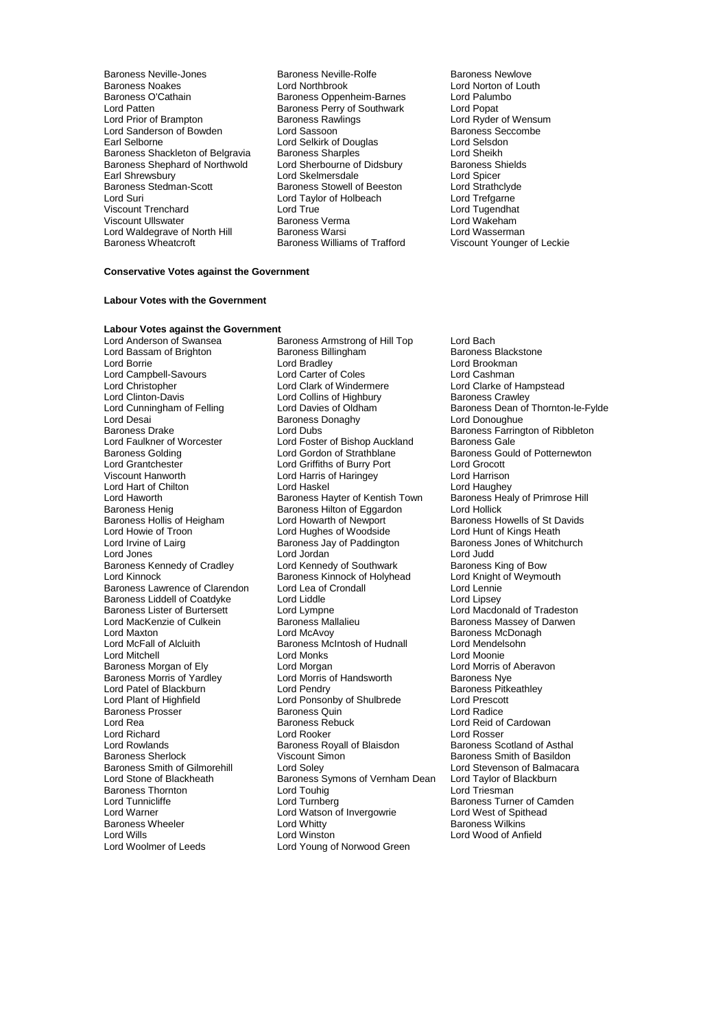- Baroness Neville-Jones **Baroness Nextle-Rolfe** Baroness Newlove<br>Baroness Noakes **Baroness Lord Northbrook Baroness Newlove** Baroness Noakes Baroness Noakes **Lord Northbrook** Lord Norton of Louth<br>Baroness O'Cathain **Baroness Oppenheim-Barnes** Lord Palumbo Baroness O'Cathain **Baroness Oppenheim-Barnes** Lord Palum<br>Lord Patten Lord Popen Baroness Perry of Southwark Lord Popen Lord Patten **Baroness Perry of Southwark**<br>
Lord Prior of Brampton **Baroness Rawlings** Lord Sanderson of Bowden Lord Sassoon<br>
Lord Selverness Security of Selverness Security of Selverness Security of Selverness Security of Selverness Se<br>
Lord Selverness And Selverness Security of Selverness Security of Selve Baroness Shackleton of Belgravia Baroness Sharples<br>
Baroness Shephard of Northwold Lord Sherbourne of Didsbury Baroness Shields Baroness Shephard of Northwold Lord Sherbourne of Didsbury Baroness Shephard of Northwold Lord Shields Cord Shi<br>Earl Shields Spicer Earl Shrewsbury Lord Skelmersdale Lord Spicer<br>
Baroness Stedman-Scott Baroness Stowell of Beeston Lord Strathclyde Baroness Stedman-Scott Baroness Stowell of Beeston Lord Strathclyd<br>
Lord Suri Lord Cord Taylor of Holbeach Lord Trefgarne Viscount Trenchard Lord True Lord Tugendhat Viscount Ullswater Baroness Verma Lord Wakeham Lord Waldegrave of North Hill **Baroness Warsi** End Wasserman<br>Baroness Wheatcroft **Baroness Williams of Trafford** Viscount Younger of Leckie
	- Baroness Rawlings **Lord Ryder of Wensum**<br>
	Lord Sassoon Baroness Seccombe Earl Selkirk of Douglas<br>
	Earl Selsdon<br>
	Earl Scheikh<br>
	Lord Sheikh<br>
	Lord Sheikh Lord Taylor of Holbeach Lord Trefgarne<br>
	Lord True<br>
	Lord Tugendhat Baroness Williams of Trafford
- 

### **Conservative Votes against the Government**

### **Labour Votes with the Government**

# **Labour Votes against the Government**

Lord Bassam of Brighton Baroness Bill<br>
Lord Borrie Baroness Baroness Bill Lord Campbell-Savours Lord Carter of Coles<br>
Lord Christopher Lord Clark of Windermere Lord Clinton-Davis Lord Collins of Highbury<br>
Lord Cunningham of Felling Lord Davies of Oldham Lord Desai  $\overline{\phantom{a}}$  Baroness Donaghy<br>Baroness Drake **Baroness** Lord Dubs Lord Faulkner of Worcester Lord Foster of Bishop Auckland<br>Baroness Golding Care Lord Gordon of Strathblane Baroness Henig<br>Baroness Henig Baroness Hilton of Eggardon<br>Baroness Hollis of Heigham Lord Howarth of Newport Baroness Liddell of Coatdyke<br>
Baroness Lister of Burtersett Lord Lympne Baroness Prosser Baroness Quin Lord Rea<br>
Lord Rea baroness Rebuck Lord Rowlands **Baroness Royall of Blaisdon**<br>
Baroness Sherlock **Baroness Royall** Viscount Simon Baroness Thornton and Lord Touhig<br>
Lord Tunnicliffe and Lord Turnberg Baroness Wheeler **Lord Whitty**<br>
Lord Wills<br>
Lord Winston

Baroness Armstrong of Hill Top Lord Bach<br>Baroness Billingham Baroness Blackstone Lord Bradley **Lord Brookman**<br>
Lord Carter of Coles **Lord Cashman** Lord Christopher **Lord Clark of Windermere** Lord Clarke of Hampstead<br>
Lord Clinton-Davis **Lord Collins of Highbury** Baroness Crawley Lord Cunningham of Felling Lord Davies of Oldham Baroness Dean of Thornton-le-Fylde<br>Lord Desai Baroness Donaghy Lord Donoughue Baroness Drake **Lord Dubs** Lord Dubs Baroness Farrington of Ribbleton<br>
Lord Faulkner of Worcester Lord Foster of Bishop Auckland Baroness Gale Baroness Golding **Lord Gordon of Strathblane** Baroness Gould of Potternewton<br>
Lord Grantchester **Baroness Could of Potternewton** Lord Grantchester Lord Griffiths of Burry Port Lord Grocott Lord Harris of Haringey<br>
Lord Haskel (Lord Haughey Lord Hart of Chilton **Lord Haskel** Lord Haughey Lord Haughey<br>Lord Haworth **Lord Haughey Communist Communist Communist** Baroness Healy of Primrose Hill Lord Haworth **Baroness Hayter of Kentish Town** Baroness Henig<br>Baroness Henig **Baroness Hilton of Eggardon** Lord Hollick Baroness Hollis of Heigham Lord Howarth of Newport Baroness Howells of St Davids<br>
Lord Howie of Troon Lord Hughes of Woodside Lord Hunt of Kings Heath Lord Howie of Troon **Lord Hughes of Woodside** Modes and Hunt of Kings Heath<br>
Lord Irvine of Lairg **Contains Hart Contains Heath**<br>
Bart Contains Heath Bart Baroness Jones of Whitchurch Lord Irvine of Lairg **Baroness Jay of Paddington** Baroness<br>
Lord Jones **Cones Cones Cones Cones Cones Cones Cones** Cones Lord Judd Lord Jones Lord Jordan Lord Judd Baroness Kennedy of Cradley Lord Kennedy of Southwark Baroness King of Bow<br>
Lord Kinnock Baroness Kinnock of Holyhead Lord Knight of Weymouth Baroness Kinnock of Holyhead Lord Knight<br>Lord Lea of Crondall Lord Lennie Baroness Lawrence of Clarendon Lord Lea of Crondall Lord Lennie<br>
Baroness Liddell of Coatdyke Lord Liddle Lidde Lord Linsey Baroness Lister of Burtersett Lord Lympne Lord Macdonald of Tradeston Lord MacKenzie of Culkein **Baroness Mallalieu** Baroness Massey of Darwen<br>
Lord Maxton **Baroness McDonagh**<br>
Lord McAvoy **Communist Communist Caroness McDonagh** Lord Maxton **Maxton** Lord McAvoy **Baroness McDonagh**<br>
Lord McFall of Alcluith **Baroness McIntosh of Hudnall** Lord Mendelsohn Baroness McIntosh of Hudnall Lord Mendels<br>
Lord Monks<br>
Lord Moonie Lord Mitchell Lord Monks Lord Moonie Paramess Morgan of Ely Lord Morgan Card Morgan Lord Morris of Aberavoness Morgan Lord Morris of Aberavoness Nye<br>Baroness Morris of Yardley Lord Morris of Handsworth Charless Nye Baroness Morris of Yardley Lord Morris of Handsworth Baroness Nye Lord Patel of Blackburn Lord Pendry Cord Pendry Baroness Pitk<br>
Lord Plant of Highfield Lord Ponsonby of Shulbrede Lord Prescott Lord Plant of Highfield<br>
Lord Ponsonby of Shulbrede Lord Prescot<br>
Baroness Prosser Baroness Quin<br>
Lord Radice Baroness Rebuck Lord Reid of Cardowan<br>
Lord Rooker<br>
Lord Rosser Lord Richard **Lord Rooker** Lord Rooker **Lord Rooker** Lord Rosser<br>
Lord Rowlands **Lord Rooker Baroness Rovall of Blaisdon** Baroness Scotland of Asthal Viscount Simon Baroness Smith of Basildon<br>
Lord Soley<br>
Lord Stevenson of Balmacara Baroness Smith of Gilmorehill Lord Soley<br>Lord Stevenson of Balmacara<br>Lord Stone of Blackheath Baroness Symons of Vernham Dean Lord Taylor of Blackburn Baroness Symons of Vernham Dean Lord Taylor of I<br>Lord Toubig Lord Triesman Lord Tunnicliffe Turnberg Lord Turnberg Baroness Turner of Camden<br>
Lord Watson of Invergowrie Lord West of Spithead<br>
Lord Watson of Invergowrie Lord West of Spithead Lord Watson of Invergowrie Lord West of Spit<br>
Lord Whitty Cord West of Spithead Lord Wills Lord Winston Lord Wood of Anfield Lord Young of Norwood Green